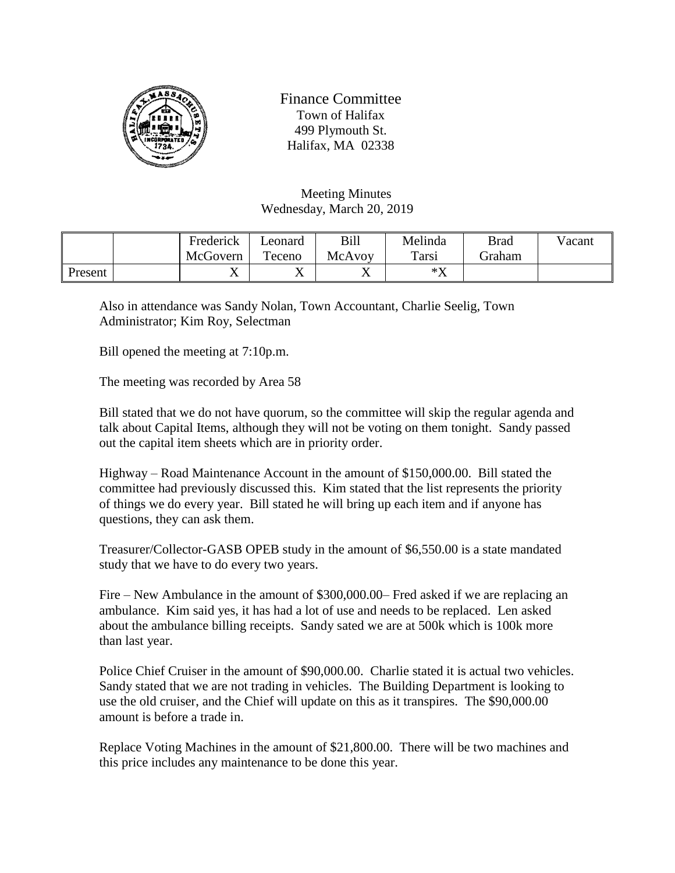

Finance Committee Town of Halifax 499 Plymouth St. Halifax, MA 02338

Meeting Minutes Wednesday, March 20, 2019

|         | Frederick | Leonard   | Bill   | Melinda       | <b>Brad</b> | Vacant |
|---------|-----------|-----------|--------|---------------|-------------|--------|
|         | McGovern  | Teceno    | McAvoy | Tarsi         | Graham      |        |
| Present |           | $\Lambda$ | ◢▴     | $*\mathbf{V}$ |             |        |

Also in attendance was Sandy Nolan, Town Accountant, Charlie Seelig, Town Administrator; Kim Roy, Selectman

Bill opened the meeting at 7:10p.m.

The meeting was recorded by Area 58

Bill stated that we do not have quorum, so the committee will skip the regular agenda and talk about Capital Items, although they will not be voting on them tonight. Sandy passed out the capital item sheets which are in priority order.

Highway – Road Maintenance Account in the amount of \$150,000.00. Bill stated the committee had previously discussed this. Kim stated that the list represents the priority of things we do every year. Bill stated he will bring up each item and if anyone has questions, they can ask them.

Treasurer/Collector-GASB OPEB study in the amount of \$6,550.00 is a state mandated study that we have to do every two years.

Fire – New Ambulance in the amount of \$300,000.00– Fred asked if we are replacing an ambulance. Kim said yes, it has had a lot of use and needs to be replaced. Len asked about the ambulance billing receipts. Sandy sated we are at 500k which is 100k more than last year.

Police Chief Cruiser in the amount of \$90,000.00. Charlie stated it is actual two vehicles. Sandy stated that we are not trading in vehicles. The Building Department is looking to use the old cruiser, and the Chief will update on this as it transpires. The \$90,000.00 amount is before a trade in.

Replace Voting Machines in the amount of \$21,800.00. There will be two machines and this price includes any maintenance to be done this year.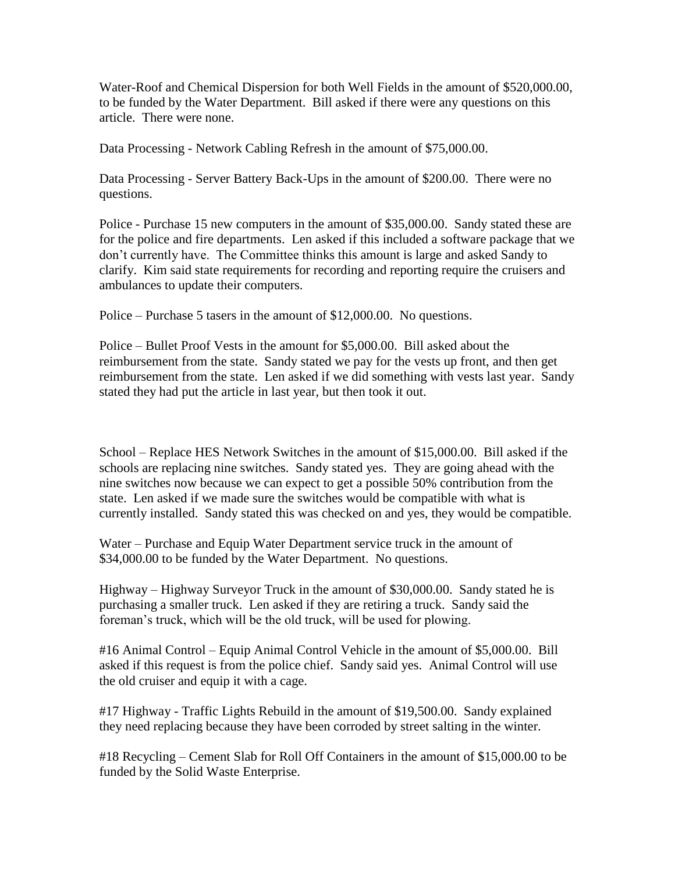Water-Roof and Chemical Dispersion for both Well Fields in the amount of \$520,000.00, to be funded by the Water Department. Bill asked if there were any questions on this article. There were none.

Data Processing - Network Cabling Refresh in the amount of \$75,000.00.

Data Processing - Server Battery Back-Ups in the amount of \$200.00. There were no questions.

Police - Purchase 15 new computers in the amount of \$35,000.00. Sandy stated these are for the police and fire departments. Len asked if this included a software package that we don't currently have. The Committee thinks this amount is large and asked Sandy to clarify. Kim said state requirements for recording and reporting require the cruisers and ambulances to update their computers.

Police – Purchase 5 tasers in the amount of \$12,000.00. No questions.

Police – Bullet Proof Vests in the amount for \$5,000.00. Bill asked about the reimbursement from the state. Sandy stated we pay for the vests up front, and then get reimbursement from the state. Len asked if we did something with vests last year. Sandy stated they had put the article in last year, but then took it out.

School – Replace HES Network Switches in the amount of \$15,000.00. Bill asked if the schools are replacing nine switches. Sandy stated yes. They are going ahead with the nine switches now because we can expect to get a possible 50% contribution from the state. Len asked if we made sure the switches would be compatible with what is currently installed. Sandy stated this was checked on and yes, they would be compatible.

Water – Purchase and Equip Water Department service truck in the amount of \$34,000.00 to be funded by the Water Department. No questions.

Highway – Highway Surveyor Truck in the amount of \$30,000.00. Sandy stated he is purchasing a smaller truck. Len asked if they are retiring a truck. Sandy said the foreman's truck, which will be the old truck, will be used for plowing.

#16 Animal Control – Equip Animal Control Vehicle in the amount of \$5,000.00. Bill asked if this request is from the police chief. Sandy said yes. Animal Control will use the old cruiser and equip it with a cage.

#17 Highway - Traffic Lights Rebuild in the amount of \$19,500.00. Sandy explained they need replacing because they have been corroded by street salting in the winter.

#18 Recycling – Cement Slab for Roll Off Containers in the amount of \$15,000.00 to be funded by the Solid Waste Enterprise.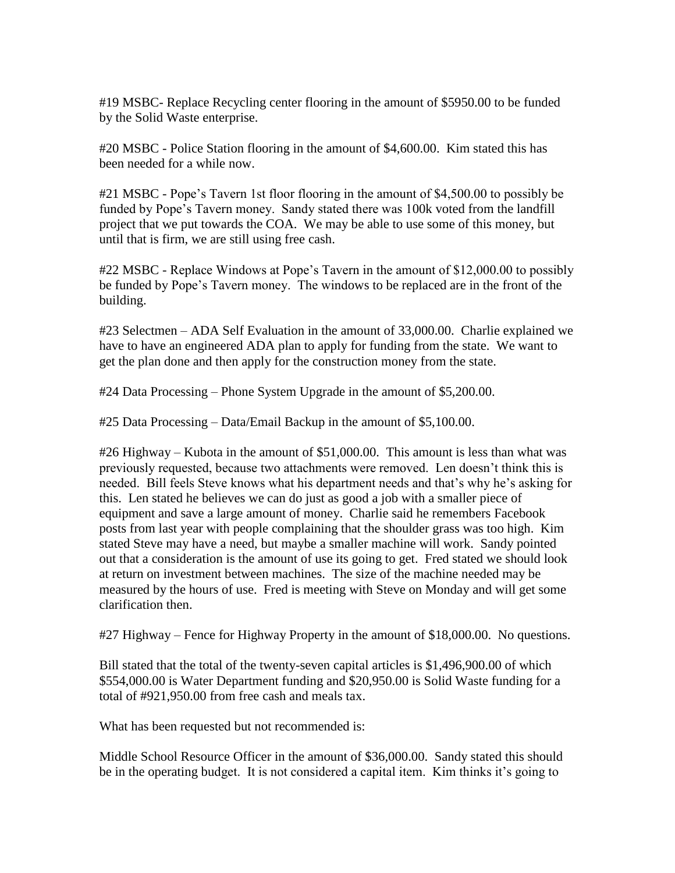#19 MSBC- Replace Recycling center flooring in the amount of \$5950.00 to be funded by the Solid Waste enterprise.

#20 MSBC - Police Station flooring in the amount of \$4,600.00. Kim stated this has been needed for a while now.

#21 MSBC - Pope's Tavern 1st floor flooring in the amount of \$4,500.00 to possibly be funded by Pope's Tavern money. Sandy stated there was 100k voted from the landfill project that we put towards the COA. We may be able to use some of this money, but until that is firm, we are still using free cash.

#22 MSBC - Replace Windows at Pope's Tavern in the amount of \$12,000.00 to possibly be funded by Pope's Tavern money. The windows to be replaced are in the front of the building.

#23 Selectmen – ADA Self Evaluation in the amount of 33,000.00. Charlie explained we have to have an engineered ADA plan to apply for funding from the state. We want to get the plan done and then apply for the construction money from the state.

#24 Data Processing – Phone System Upgrade in the amount of \$5,200.00.

#25 Data Processing – Data/Email Backup in the amount of \$5,100.00.

#26 Highway – Kubota in the amount of \$51,000.00. This amount is less than what was previously requested, because two attachments were removed. Len doesn't think this is needed. Bill feels Steve knows what his department needs and that's why he's asking for this. Len stated he believes we can do just as good a job with a smaller piece of equipment and save a large amount of money. Charlie said he remembers Facebook posts from last year with people complaining that the shoulder grass was too high. Kim stated Steve may have a need, but maybe a smaller machine will work. Sandy pointed out that a consideration is the amount of use its going to get. Fred stated we should look at return on investment between machines. The size of the machine needed may be measured by the hours of use. Fred is meeting with Steve on Monday and will get some clarification then.

#27 Highway – Fence for Highway Property in the amount of \$18,000.00. No questions.

Bill stated that the total of the twenty-seven capital articles is \$1,496,900.00 of which \$554,000.00 is Water Department funding and \$20,950.00 is Solid Waste funding for a total of #921,950.00 from free cash and meals tax.

What has been requested but not recommended is:

Middle School Resource Officer in the amount of \$36,000.00. Sandy stated this should be in the operating budget. It is not considered a capital item. Kim thinks it's going to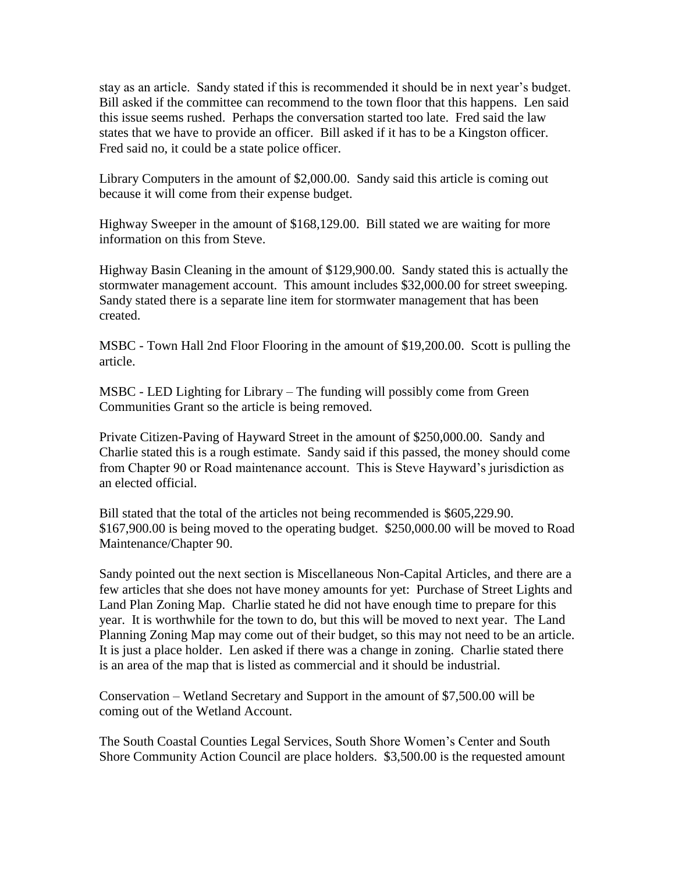stay as an article. Sandy stated if this is recommended it should be in next year's budget. Bill asked if the committee can recommend to the town floor that this happens. Len said this issue seems rushed. Perhaps the conversation started too late. Fred said the law states that we have to provide an officer. Bill asked if it has to be a Kingston officer. Fred said no, it could be a state police officer.

Library Computers in the amount of \$2,000.00. Sandy said this article is coming out because it will come from their expense budget.

Highway Sweeper in the amount of \$168,129.00. Bill stated we are waiting for more information on this from Steve.

Highway Basin Cleaning in the amount of \$129,900.00. Sandy stated this is actually the stormwater management account. This amount includes \$32,000.00 for street sweeping. Sandy stated there is a separate line item for stormwater management that has been created.

MSBC - Town Hall 2nd Floor Flooring in the amount of \$19,200.00. Scott is pulling the article.

MSBC - LED Lighting for Library – The funding will possibly come from Green Communities Grant so the article is being removed.

Private Citizen-Paving of Hayward Street in the amount of \$250,000.00. Sandy and Charlie stated this is a rough estimate. Sandy said if this passed, the money should come from Chapter 90 or Road maintenance account. This is Steve Hayward's jurisdiction as an elected official.

Bill stated that the total of the articles not being recommended is \$605,229.90. \$167,900.00 is being moved to the operating budget. \$250,000.00 will be moved to Road Maintenance/Chapter 90.

Sandy pointed out the next section is Miscellaneous Non-Capital Articles, and there are a few articles that she does not have money amounts for yet: Purchase of Street Lights and Land Plan Zoning Map. Charlie stated he did not have enough time to prepare for this year. It is worthwhile for the town to do, but this will be moved to next year. The Land Planning Zoning Map may come out of their budget, so this may not need to be an article. It is just a place holder. Len asked if there was a change in zoning. Charlie stated there is an area of the map that is listed as commercial and it should be industrial.

Conservation – Wetland Secretary and Support in the amount of \$7,500.00 will be coming out of the Wetland Account.

The South Coastal Counties Legal Services, South Shore Women's Center and South Shore Community Action Council are place holders. \$3,500.00 is the requested amount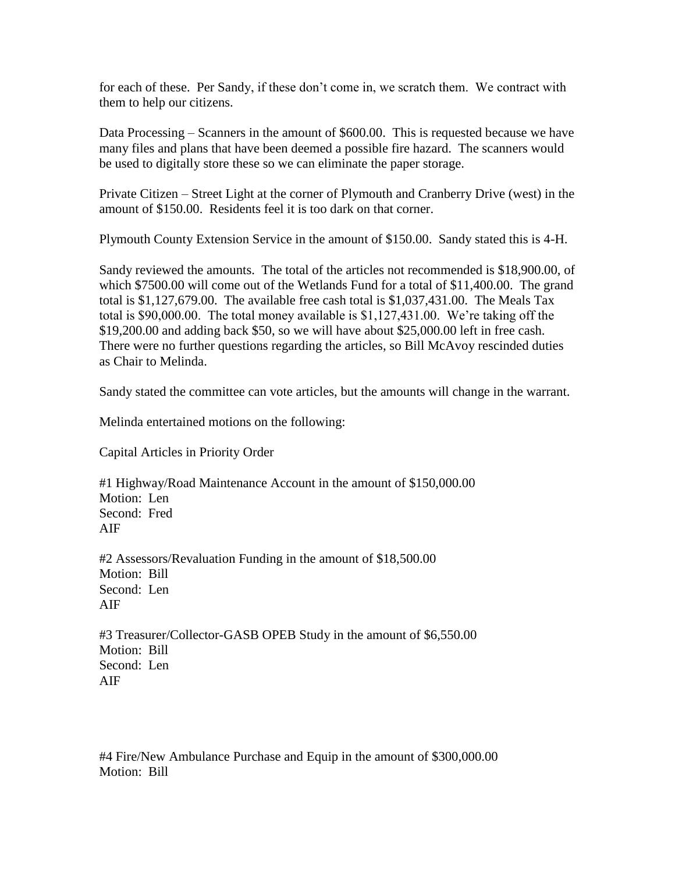for each of these. Per Sandy, if these don't come in, we scratch them. We contract with them to help our citizens.

Data Processing – Scanners in the amount of \$600.00. This is requested because we have many files and plans that have been deemed a possible fire hazard. The scanners would be used to digitally store these so we can eliminate the paper storage.

Private Citizen – Street Light at the corner of Plymouth and Cranberry Drive (west) in the amount of \$150.00. Residents feel it is too dark on that corner.

Plymouth County Extension Service in the amount of \$150.00. Sandy stated this is 4-H.

Sandy reviewed the amounts. The total of the articles not recommended is \$18,900.00, of which \$7500.00 will come out of the Wetlands Fund for a total of \$11,400.00. The grand total is \$1,127,679.00. The available free cash total is \$1,037,431.00. The Meals Tax total is \$90,000.00. The total money available is \$1,127,431.00. We're taking off the \$19,200.00 and adding back \$50, so we will have about \$25,000.00 left in free cash. There were no further questions regarding the articles, so Bill McAvoy rescinded duties as Chair to Melinda.

Sandy stated the committee can vote articles, but the amounts will change in the warrant.

Melinda entertained motions on the following:

Capital Articles in Priority Order

#1 Highway/Road Maintenance Account in the amount of \$150,000.00 Motion: Len Second: Fred AIF

#2 Assessors/Revaluation Funding in the amount of \$18,500.00 Motion: Bill Second: Len AIF

#3 Treasurer/Collector-GASB OPEB Study in the amount of \$6,550.00 Motion: Bill Second: Len AIF

#4 Fire/New Ambulance Purchase and Equip in the amount of \$300,000.00 Motion: Bill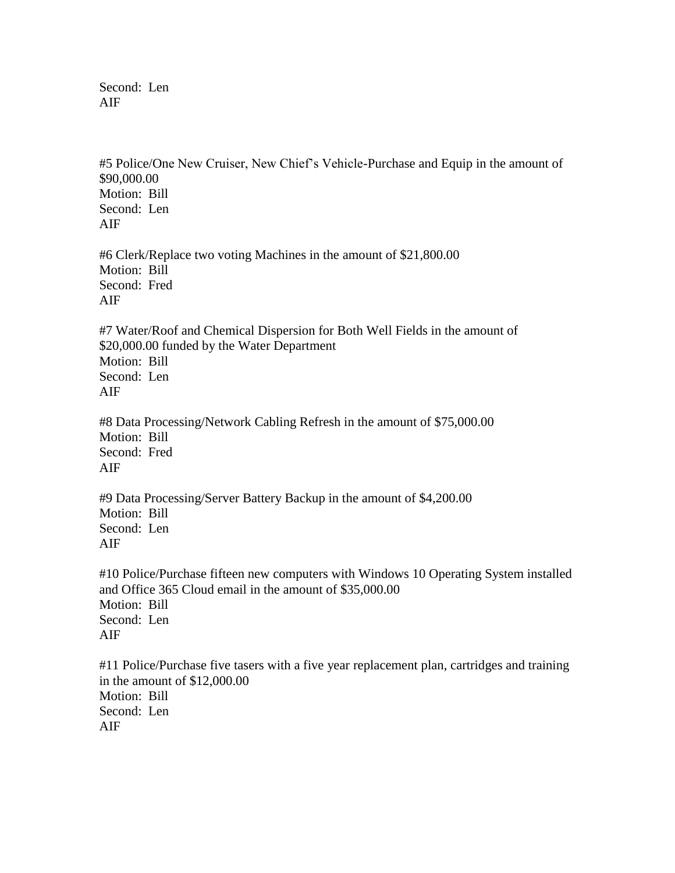Second: Len AIF

#5 Police/One New Cruiser, New Chief's Vehicle-Purchase and Equip in the amount of \$90,000.00 Motion: Bill Second: Len AIF

#6 Clerk/Replace two voting Machines in the amount of \$21,800.00 Motion: Bill Second: Fred AIF

#7 Water/Roof and Chemical Dispersion for Both Well Fields in the amount of \$20,000.00 funded by the Water Department Motion: Bill Second: Len AIF

#8 Data Processing/Network Cabling Refresh in the amount of \$75,000.00 Motion: Bill Second: Fred AIF

#9 Data Processing/Server Battery Backup in the amount of \$4,200.00 Motion: Bill Second: Len AIF

#10 Police/Purchase fifteen new computers with Windows 10 Operating System installed and Office 365 Cloud email in the amount of \$35,000.00 Motion: Bill Second: Len AIF

#11 Police/Purchase five tasers with a five year replacement plan, cartridges and training in the amount of \$12,000.00 Motion: Bill Second: Len AIF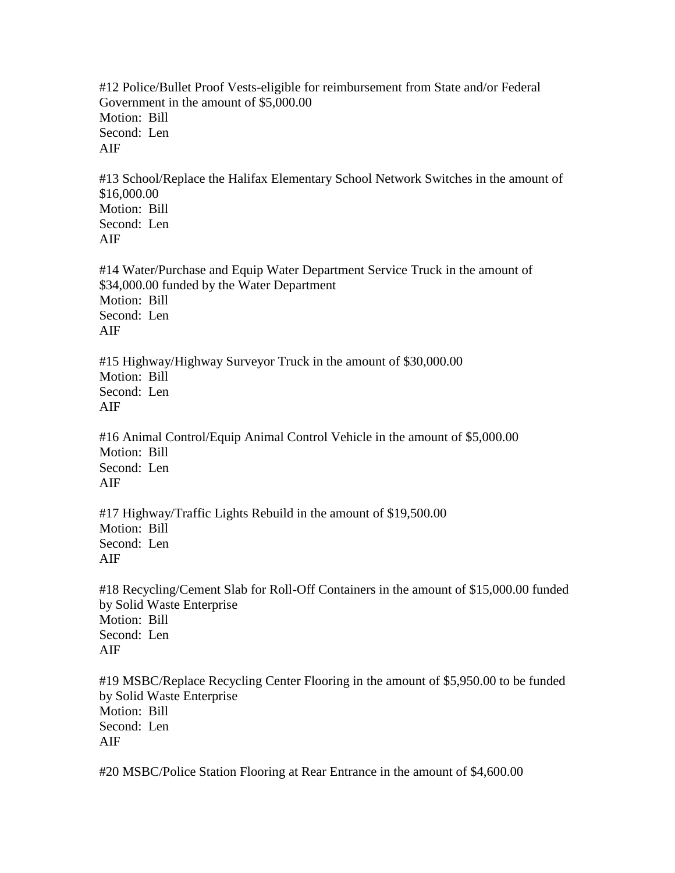#12 Police/Bullet Proof Vests-eligible for reimbursement from State and/or Federal Government in the amount of \$5,000.00 Motion: Bill Second: Len AIF #13 School/Replace the Halifax Elementary School Network Switches in the amount of \$16,000.00 Motion: Bill Second: Len AIF #14 Water/Purchase and Equip Water Department Service Truck in the amount of \$34,000.00 funded by the Water Department Motion: Bill Second: Len AIF #15 Highway/Highway Surveyor Truck in the amount of \$30,000.00 Motion: Bill Second: Len AIF #16 Animal Control/Equip Animal Control Vehicle in the amount of \$5,000.00 Motion: Bill Second: Len AIF #17 Highway/Traffic Lights Rebuild in the amount of \$19,500.00 Motion: Bill Second: Len AIF #18 Recycling/Cement Slab for Roll-Off Containers in the amount of \$15,000.00 funded by Solid Waste Enterprise Motion: Bill Second: Len AIF #19 MSBC/Replace Recycling Center Flooring in the amount of \$5,950.00 to be funded by Solid Waste Enterprise Motion: Bill Second: Len

AIF

#20 MSBC/Police Station Flooring at Rear Entrance in the amount of \$4,600.00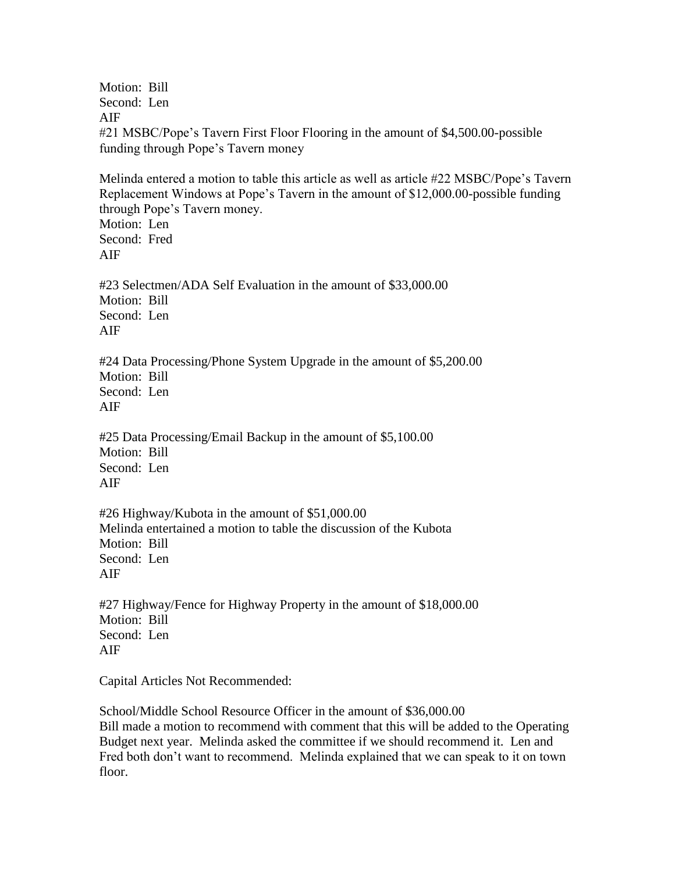Motion: Bill Second: Len AIF #21 MSBC/Pope's Tavern First Floor Flooring in the amount of \$4,500.00-possible funding through Pope's Tavern money

Melinda entered a motion to table this article as well as article #22 MSBC/Pope's Tavern Replacement Windows at Pope's Tavern in the amount of \$12,000.00-possible funding through Pope's Tavern money. Motion: Len Second: Fred AIF #23 Selectmen/ADA Self Evaluation in the amount of \$33,000.00 Motion: Bill Second: Len AIF #24 Data Processing/Phone System Upgrade in the amount of \$5,200.00 Motion: Bill Second: Len AIF #25 Data Processing/Email Backup in the amount of \$5,100.00 Motion: Bill Second: Len AIF #26 Highway/Kubota in the amount of \$51,000.00 Melinda entertained a motion to table the discussion of the Kubota Motion: Bill Second: Len AIF

#27 Highway/Fence for Highway Property in the amount of \$18,000.00 Motion: Bill Second: Len AIF

Capital Articles Not Recommended:

School/Middle School Resource Officer in the amount of \$36,000.00 Bill made a motion to recommend with comment that this will be added to the Operating Budget next year. Melinda asked the committee if we should recommend it. Len and Fred both don't want to recommend. Melinda explained that we can speak to it on town floor.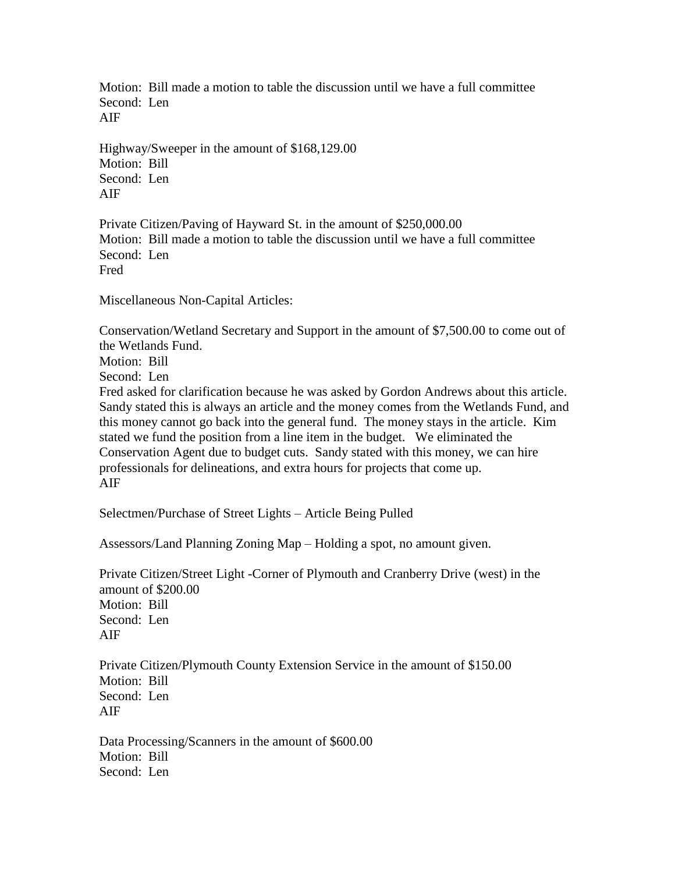Motion: Bill made a motion to table the discussion until we have a full committee Second: Len AIF

Highway/Sweeper in the amount of \$168,129.00 Motion: Bill Second: Len AIF

Private Citizen/Paving of Hayward St. in the amount of \$250,000.00 Motion: Bill made a motion to table the discussion until we have a full committee Second: Len Fred

Miscellaneous Non-Capital Articles:

Conservation/Wetland Secretary and Support in the amount of \$7,500.00 to come out of the Wetlands Fund.

Motion: Bill

Second: Len

Fred asked for clarification because he was asked by Gordon Andrews about this article. Sandy stated this is always an article and the money comes from the Wetlands Fund, and this money cannot go back into the general fund. The money stays in the article. Kim stated we fund the position from a line item in the budget. We eliminated the Conservation Agent due to budget cuts. Sandy stated with this money, we can hire professionals for delineations, and extra hours for projects that come up. AIF

Selectmen/Purchase of Street Lights – Article Being Pulled

Assessors/Land Planning Zoning Map – Holding a spot, no amount given.

Private Citizen/Street Light -Corner of Plymouth and Cranberry Drive (west) in the amount of \$200.00 Motion: Bill Second: Len AIF

Private Citizen/Plymouth County Extension Service in the amount of \$150.00 Motion: Bill Second: Len AIF

Data Processing/Scanners in the amount of \$600.00 Motion: Bill Second: Len